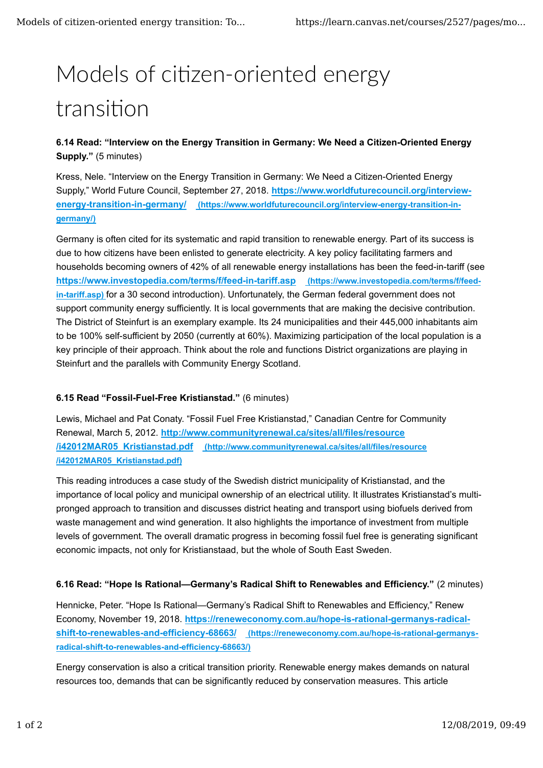# Models of citizen-oriented energy transition

## **6.14 Read: "Interview on the Energy Transition in Germany: We Need a Citizen-Oriented Energy Supply."** (5 minutes)

Kress, Nele. "Interview on the Energy Transition in Germany: We Need a Citizen-Oriented Energy Supply," World Future Council, September 27, 2018. **https://www.worldfuturecouncil.org/interviewenergy-transition-in-germany/ (https://www.worldfuturecouncil.org/interview-energy-transition-ingermany/)**

Germany is often cited for its systematic and rapid transition to renewable energy. Part of its success is due to how citizens have been enlisted to generate electricity. A key policy facilitating farmers and households becoming owners of 42% of all renewable energy installations has been the feed-in-tariff (see **https://www.investopedia.com/terms/f/feed-in-tariff.asp (https://www.investopedia.com/terms/f/feedin-tariff.asp)** for a 30 second introduction). Unfortunately, the German federal government does not support community energy sufficiently. It is local governments that are making the decisive contribution. The District of Steinfurt is an exemplary example. Its 24 municipalities and their 445,000 inhabitants aim to be 100% self-sufficient by 2050 (currently at 60%). Maximizing participation of the local population is a key principle of their approach. Think about the role and functions District organizations are playing in Steinfurt and the parallels with Community Energy Scotland.

### **6.15 Read "Fossil-Fuel-Free Kristianstad."** (6 minutes)

Lewis, Michael and Pat Conaty. "Fossil Fuel Free Kristianstad," Canadian Centre for Community Renewal, March 5, 2012. **http://www.communityrenewal.ca/sites/all/files/resource /i42012MAR05\_Kristianstad.pdf (http://www.communityrenewal.ca/sites/all/files/resource /i42012MAR05\_Kristianstad.pdf)**

This reading introduces a case study of the Swedish district municipality of Kristianstad, and the importance of local policy and municipal ownership of an electrical utility. It illustrates Kristianstad's multipronged approach to transition and discusses district heating and transport using biofuels derived from waste management and wind generation. It also highlights the importance of investment from multiple levels of government. The overall dramatic progress in becoming fossil fuel free is generating significant economic impacts, not only for Kristianstaad, but the whole of South East Sweden.

### **6.16 Read: "Hope Is Rational—Germany's Radical Shift to Renewables and Efficiency."** (2 minutes)

Hennicke, Peter. "Hope Is Rational—Germany's Radical Shift to Renewables and Efficiency," Renew Economy, November 19, 2018. **https://reneweconomy.com.au/hope-is-rational-germanys-radicalshift-to-renewables-and-efficiency-68663/ (https://reneweconomy.com.au/hope-is-rational-germanysradical-shift-to-renewables-and-efficiency-68663/)**

Energy conservation is also a critical transition priority. Renewable energy makes demands on natural resources too, demands that can be significantly reduced by conservation measures. This article